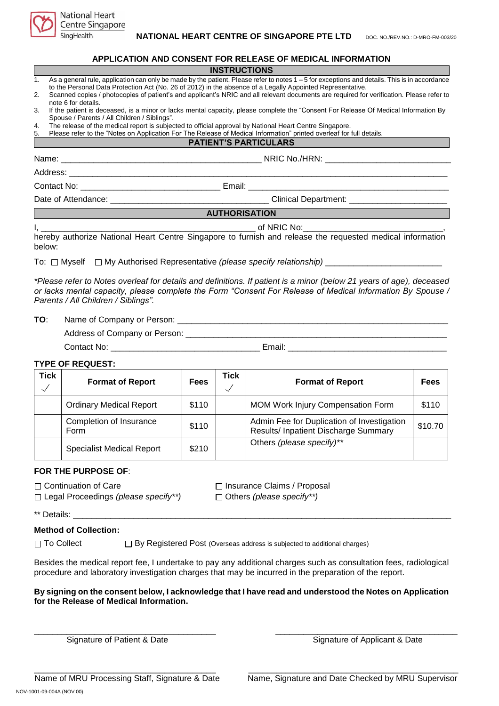

Centre Singapore

SingHealth

|                                                                                                                                                                                                                                             |                                                                                                                                                                                                            | APPLICATION AND CONSENT FOR RELEASE OF MEDICAL INFORMATION                                                                                                                                                                                                                                                                                                                                              |  |  |  |  |  |  |
|---------------------------------------------------------------------------------------------------------------------------------------------------------------------------------------------------------------------------------------------|------------------------------------------------------------------------------------------------------------------------------------------------------------------------------------------------------------|---------------------------------------------------------------------------------------------------------------------------------------------------------------------------------------------------------------------------------------------------------------------------------------------------------------------------------------------------------------------------------------------------------|--|--|--|--|--|--|
|                                                                                                                                                                                                                                             |                                                                                                                                                                                                            | <b>INSTRUCTIONS</b>                                                                                                                                                                                                                                                                                                                                                                                     |  |  |  |  |  |  |
| 1.<br>2.                                                                                                                                                                                                                                    |                                                                                                                                                                                                            | As a general rule, application can only be made by the patient. Please refer to notes 1 - 5 for exceptions and details. This is in accordance<br>to the Personal Data Protection Act (No. 26 of 2012) in the absence of a Legally Appointed Representative.<br>Scanned copies / photocopies of patient's and applicant's NRIC and all relevant documents are required for verification. Please refer to |  |  |  |  |  |  |
| 3.                                                                                                                                                                                                                                          | note 6 for details.<br>If the patient is deceased, is a minor or lacks mental capacity, please complete the "Consent For Release Of Medical Information By<br>Spouse / Parents / All Children / Siblings". |                                                                                                                                                                                                                                                                                                                                                                                                         |  |  |  |  |  |  |
| The release of the medical report is subjected to official approval by National Heart Centre Singapore.<br>4.<br>Please refer to the "Notes on Application For The Release of Medical Information" printed overleaf for full details.<br>5. |                                                                                                                                                                                                            |                                                                                                                                                                                                                                                                                                                                                                                                         |  |  |  |  |  |  |
|                                                                                                                                                                                                                                             |                                                                                                                                                                                                            | <b>PATIENT'S PARTICULARS</b>                                                                                                                                                                                                                                                                                                                                                                            |  |  |  |  |  |  |
|                                                                                                                                                                                                                                             |                                                                                                                                                                                                            |                                                                                                                                                                                                                                                                                                                                                                                                         |  |  |  |  |  |  |
|                                                                                                                                                                                                                                             |                                                                                                                                                                                                            |                                                                                                                                                                                                                                                                                                                                                                                                         |  |  |  |  |  |  |
|                                                                                                                                                                                                                                             |                                                                                                                                                                                                            |                                                                                                                                                                                                                                                                                                                                                                                                         |  |  |  |  |  |  |
|                                                                                                                                                                                                                                             |                                                                                                                                                                                                            |                                                                                                                                                                                                                                                                                                                                                                                                         |  |  |  |  |  |  |
|                                                                                                                                                                                                                                             |                                                                                                                                                                                                            | <b>AUTHORISATION</b>                                                                                                                                                                                                                                                                                                                                                                                    |  |  |  |  |  |  |
|                                                                                                                                                                                                                                             | hereby authorize National Heart Centre Singapore to furnish and release the requested medical information<br>below:                                                                                        |                                                                                                                                                                                                                                                                                                                                                                                                         |  |  |  |  |  |  |
|                                                                                                                                                                                                                                             |                                                                                                                                                                                                            | To: □ Myself □ My Authorised Representative (please specify relationship) _________________________                                                                                                                                                                                                                                                                                                     |  |  |  |  |  |  |
|                                                                                                                                                                                                                                             | Parents / All Children / Siblings".                                                                                                                                                                        | *Please refer to Notes overleaf for details and definitions. If patient is a minor (below 21 years of age), deceased<br>or lacks mental capacity, please complete the Form "Consent For Release of Medical Information By Spouse /                                                                                                                                                                      |  |  |  |  |  |  |
| TO:                                                                                                                                                                                                                                         |                                                                                                                                                                                                            |                                                                                                                                                                                                                                                                                                                                                                                                         |  |  |  |  |  |  |
|                                                                                                                                                                                                                                             |                                                                                                                                                                                                            |                                                                                                                                                                                                                                                                                                                                                                                                         |  |  |  |  |  |  |
|                                                                                                                                                                                                                                             |                                                                                                                                                                                                            |                                                                                                                                                                                                                                                                                                                                                                                                         |  |  |  |  |  |  |

#### **TYPE OF REQUEST:**

| <b>Tick</b> | <b>Format of Report</b>          | <b>Fees</b> | Tick | <b>Format of Report</b>                                                            | <b>Fees</b> |
|-------------|----------------------------------|-------------|------|------------------------------------------------------------------------------------|-------------|
|             | <b>Ordinary Medical Report</b>   | \$110       |      | <b>MOM Work Injury Compensation Form</b>                                           | \$110       |
|             | Completion of Insurance<br>Form  | \$110       |      | Admin Fee for Duplication of Investigation<br>Results/ Inpatient Discharge Summary | \$10.70     |
|             | <b>Specialist Medical Report</b> | \$210       |      | Others (please specify)**                                                          |             |

#### **FOR THE PURPOSE OF**:

□ Continuation of Care Insurance Claims / Proposal Legal Proceedings *(please specify\*\*)* Others *(please specify\*\*)*

\*\* Details: \_\_\_\_\_\_\_\_\_\_\_\_\_\_\_\_\_\_\_\_\_\_\_\_\_\_\_\_\_\_\_\_\_\_\_\_\_\_\_\_\_\_\_\_\_\_\_\_\_\_\_\_\_\_\_\_\_\_\_\_\_\_\_\_\_\_\_\_\_\_\_\_\_\_\_\_\_\_\_\_\_

## **Method of Collection:**

 $\Box$  To Collect  $\Box$  By Registered Post (Overseas address is subjected to additional charges)

Besides the medical report fee, I undertake to pay any additional charges such as consultation fees, radiological procedure and laboratory investigation charges that may be incurred in the preparation of the report.

## **By signing on the consent below, I acknowledge that I have read and understood the Notes on Application for the Release of Medical Information.**

\_\_\_\_\_\_\_\_\_\_\_\_\_\_\_\_\_\_\_\_\_\_\_\_\_\_\_\_\_\_\_\_\_\_\_\_\_\_\_ \_\_\_\_\_\_\_\_\_\_\_\_\_\_\_\_\_\_\_\_\_\_\_\_\_\_\_\_\_\_\_\_\_\_\_\_\_\_\_

\_\_\_\_\_\_\_\_\_\_\_\_\_\_\_\_\_\_\_\_\_\_\_\_\_\_\_\_\_\_\_\_\_\_\_\_\_\_\_ \_\_\_\_\_\_\_\_\_\_\_\_\_\_\_\_\_\_\_\_\_\_\_\_\_\_\_\_\_\_\_\_\_\_\_\_\_\_\_\_\_\_\_\_\_

Signature of Patient & Date Signature of Applicant & Date